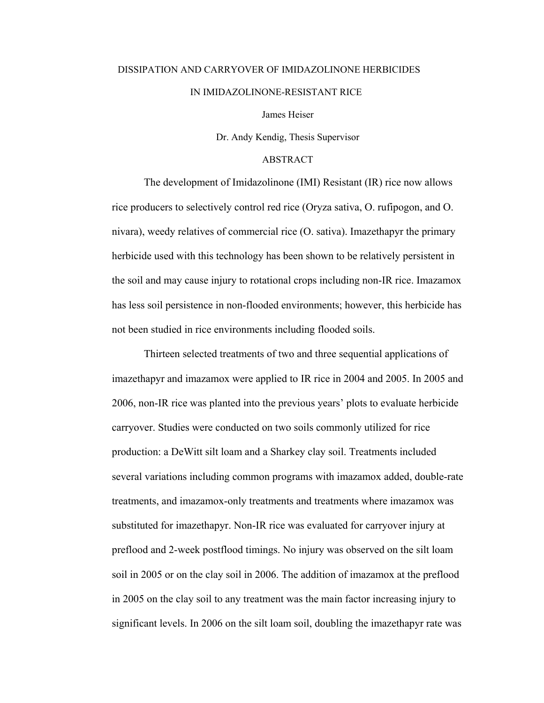## DISSIPATION AND CARRYOVER OF IMIDAZOLINONE HERBICIDES IN IMIDAZOLINONE-RESISTANT RICE

James Heiser

Dr. Andy Kendig, Thesis Supervisor

## ABSTRACT

 The development of Imidazolinone (IMI) Resistant (IR) rice now allows rice producers to selectively control red rice (Oryza sativa, O. rufipogon, and O. nivara), weedy relatives of commercial rice (O. sativa). Imazethapyr the primary herbicide used with this technology has been shown to be relatively persistent in the soil and may cause injury to rotational crops including non-IR rice. Imazamox has less soil persistence in non-flooded environments; however, this herbicide has not been studied in rice environments including flooded soils.

 Thirteen selected treatments of two and three sequential applications of imazethapyr and imazamox were applied to IR rice in 2004 and 2005. In 2005 and 2006, non-IR rice was planted into the previous years' plots to evaluate herbicide carryover. Studies were conducted on two soils commonly utilized for rice production: a DeWitt silt loam and a Sharkey clay soil. Treatments included several variations including common programs with imazamox added, double-rate treatments, and imazamox-only treatments and treatments where imazamox was substituted for imazethapyr. Non-IR rice was evaluated for carryover injury at preflood and 2-week postflood timings. No injury was observed on the silt loam soil in 2005 or on the clay soil in 2006. The addition of imazamox at the preflood in 2005 on the clay soil to any treatment was the main factor increasing injury to significant levels. In 2006 on the silt loam soil, doubling the imazethapyr rate was